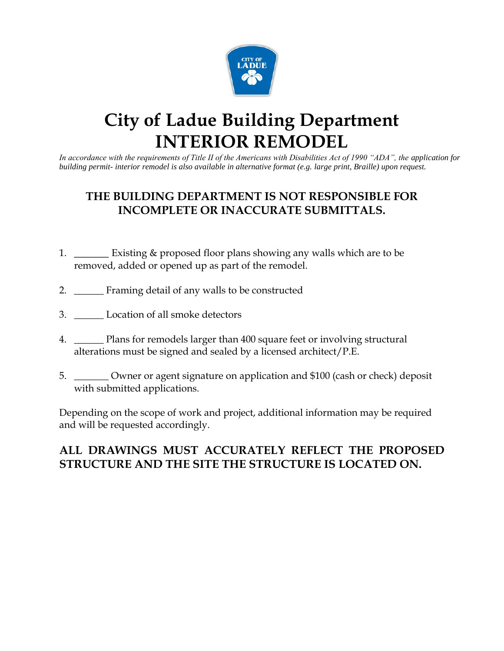

# **City of Ladue Building Department INTERIOR REMODEL**

*In accordance with the requirements of Title II of the Americans with Disabilities Act of 1990 "ADA", the application for building permit- interior remodel is also available in alternative format (e.g. large print, Braille) upon request.*

# **THE BUILDING DEPARTMENT IS NOT RESPONSIBLE FOR INCOMPLETE OR INACCURATE SUBMITTALS.**

- 1. \_\_\_\_\_\_ Existing & proposed floor plans showing any walls which are to be removed, added or opened up as part of the remodel.
- 2. \_\_\_\_\_\_ Framing detail of any walls to be constructed
- 3. \_\_\_\_\_\_ Location of all smoke detectors
- 4. \_\_\_\_\_\_ Plans for remodels larger than 400 square feet or involving structural alterations must be signed and sealed by a licensed architect/P.E.
- 5. \_\_\_\_\_\_\_ Owner or agent signature on application and \$100 (cash or check) deposit with submitted applications.

Depending on the scope of work and project, additional information may be required and will be requested accordingly.

# **ALL DRAWINGS MUST ACCURATELY REFLECT THE PROPOSED STRUCTURE AND THE SITE THE STRUCTURE IS LOCATED ON.**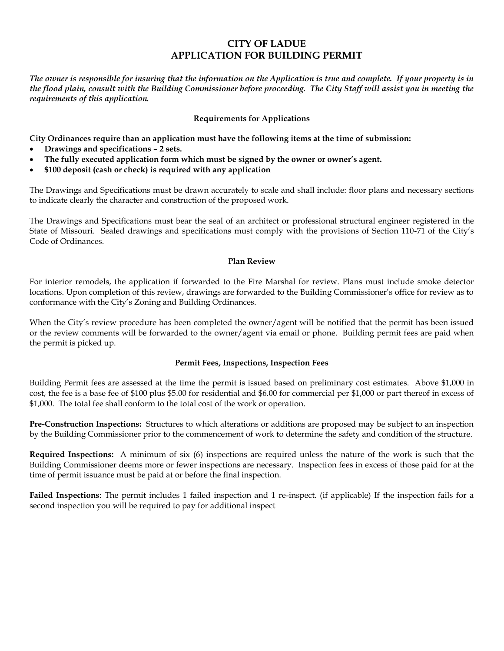## **CITY OF LADUE APPLICATION FOR BUILDING PERMIT**

*The owner is responsible for insuring that the information on the Application is true and complete. If your property is in the flood plain, consult with the Building Commissioner before proceeding. The City Staff will assist you in meeting the requirements of this application.*

#### **Requirements for Applications**

**City Ordinances require than an application must have the following items at the time of submission:**

- **Drawings and specifications – 2 sets.**
- **The fully executed application form which must be signed by the owner or owner's agent.**
- **\$100 deposit (cash or check) is required with any application**

The Drawings and Specifications must be drawn accurately to scale and shall include: floor plans and necessary sections to indicate clearly the character and construction of the proposed work.

The Drawings and Specifications must bear the seal of an architect or professional structural engineer registered in the State of Missouri. Sealed drawings and specifications must comply with the provisions of Section 110-71 of the City's Code of Ordinances.

#### **Plan Review**

For interior remodels, the application if forwarded to the Fire Marshal for review. Plans must include smoke detector locations. Upon completion of this review, drawings are forwarded to the Building Commissioner's office for review as to conformance with the City's Zoning and Building Ordinances.

When the City's review procedure has been completed the owner/agent will be notified that the permit has been issued or the review comments will be forwarded to the owner/agent via email or phone. Building permit fees are paid when the permit is picked up.

#### **Permit Fees, Inspections, Inspection Fees**

Building Permit fees are assessed at the time the permit is issued based on preliminary cost estimates. Above \$1,000 in cost, the fee is a base fee of \$100 plus \$5.00 for residential and \$6.00 for commercial per \$1,000 or part thereof in excess of \$1,000. The total fee shall conform to the total cost of the work or operation.

**Pre-Construction Inspections:** Structures to which alterations or additions are proposed may be subject to an inspection by the Building Commissioner prior to the commencement of work to determine the safety and condition of the structure.

**Required Inspections:** A minimum of six (6) inspections are required unless the nature of the work is such that the Building Commissioner deems more or fewer inspections are necessary. Inspection fees in excess of those paid for at the time of permit issuance must be paid at or before the final inspection.

**Failed Inspections**: The permit includes 1 failed inspection and 1 re-inspect. (if applicable) If the inspection fails for a second inspection you will be required to pay for additional inspect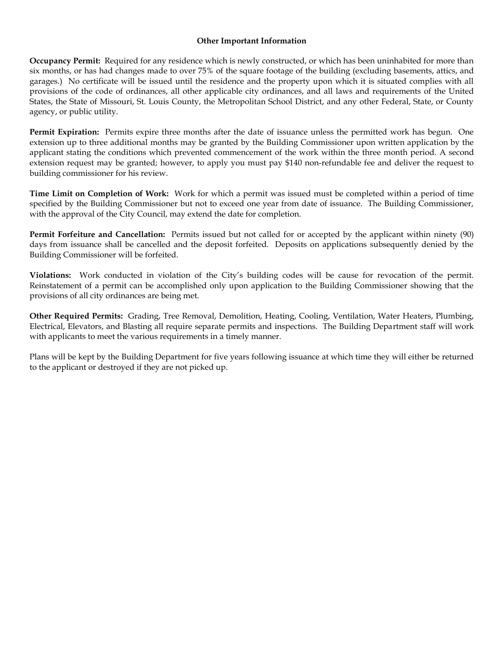#### **Other Important Information**

**Occupancy Permit:** Required for any residence which is newly constructed, or which has been uninhabited for more than six months, or has had changes made to over 75% of the square footage of the building (excluding basements, attics, and garages.) No certificate will be issued until the residence and the property upon which it is situated complies with all provisions of the code of ordinances, all other applicable city ordinances, and all laws and requirements of the United States, the State of Missouri, St. Louis County, the Metropolitan School District, and any other Federal, State, or County agency, or public utility.

**Permit Expiration:** Permits expire three months after the date of issuance unless the permitted work has begun. One extension up to three additional months may be granted by the Building Commissioner upon written application by the applicant stating the conditions which prevented commencement of the work within the three month period. A second extension request may be granted; however, to apply you must pay \$140 non-refundable fee and deliver the request to building commissioner for his review.

**Time Limit on Completion of Work:** Work for which a permit was issued must be completed within a period of time specified by the Building Commissioner but not to exceed one year from date of issuance. The Building Commissioner, with the approval of the City Council, may extend the date for completion.

**Permit Forfeiture and Cancellation:** Permits issued but not called for or accepted by the applicant within ninety (90) days from issuance shall be cancelled and the deposit forfeited. Deposits on applications subsequently denied by the Building Commissioner will be forfeited.

**Violations:** Work conducted in violation of the City's building codes will be cause for revocation of the permit. Reinstatement of a permit can be accomplished only upon application to the Building Commissioner showing that the provisions of all city ordinances are being met.

**Other Required Permits:** Grading, Tree Removal, Demolition, Heating, Cooling, Ventilation, Water Heaters, Plumbing, Electrical, Elevators, and Blasting all require separate permits and inspections. The Building Department staff will work with applicants to meet the various requirements in a timely manner.

Plans will be kept by the Building Department for five years following issuance at which time they will either be returned to the applicant or destroyed if they are not picked up.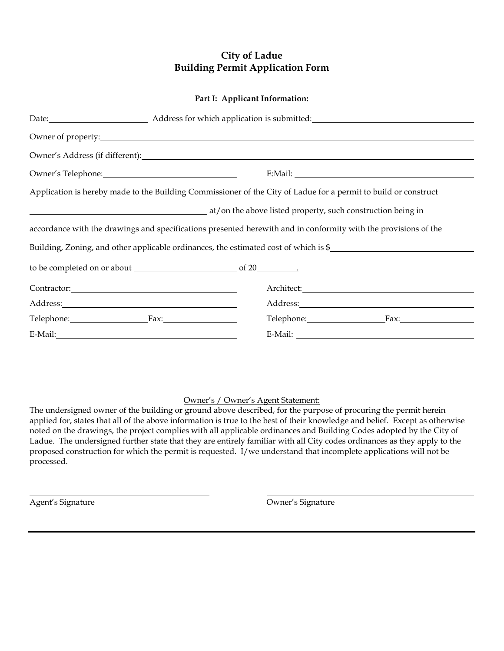## **City of Ladue Building Permit Application Form**

#### **Part I: Applicant Information:**

|                 | Date: Address for which application is submitted:                                                               |
|-----------------|-----------------------------------------------------------------------------------------------------------------|
|                 |                                                                                                                 |
|                 |                                                                                                                 |
|                 |                                                                                                                 |
|                 | Application is hereby made to the Building Commissioner of the City of Ladue for a permit to build or construct |
|                 | at/on the above listed property, such construction being in                                                     |
|                 | accordance with the drawings and specifications presented herewith and in conformity with the provisions of the |
|                 | Building, Zoning, and other applicable ordinances, the estimated cost of which is \$                            |
|                 |                                                                                                                 |
|                 | Architect: <u>Canadian Communication</u>                                                                        |
|                 |                                                                                                                 |
| Telephone: Fax: | Telephone: Fax:                                                                                                 |
|                 |                                                                                                                 |

#### Owner's / Owner's Agent Statement:

The undersigned owner of the building or ground above described, for the purpose of procuring the permit herein applied for, states that all of the above information is true to the best of their knowledge and belief. Except as otherwise noted on the drawings, the project complies with all applicable ordinances and Building Codes adopted by the City of Ladue. The undersigned further state that they are entirely familiar with all City codes ordinances as they apply to the proposed construction for which the permit is requested. I/we understand that incomplete applications will not be processed.

Agent's Signature **Contract Contract Contract Contract Contract Contract Contract Contract Contract Contract Contract Contract Contract Contract Contract Contract Contract Contract Contract Contract Contract Contract Contr**